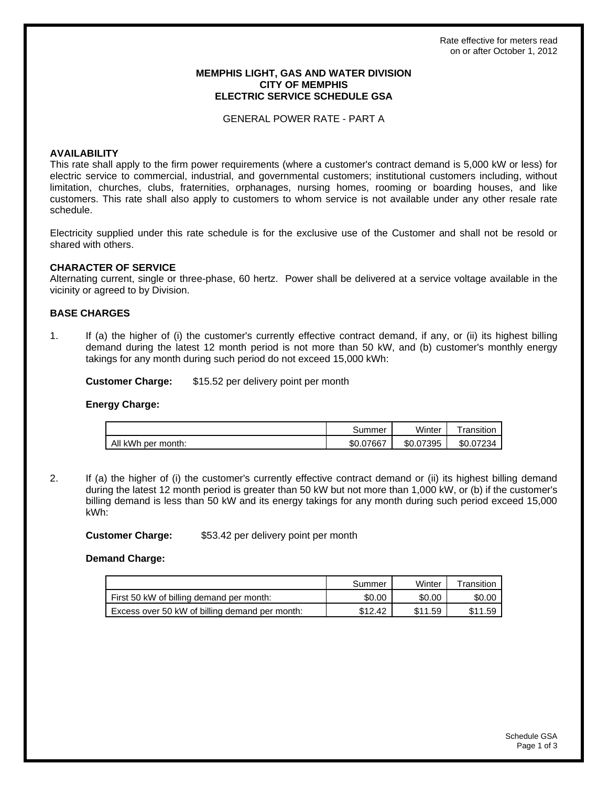### **MEMPHIS LIGHT, GAS AND WATER DIVISION CITY OF MEMPHIS ELECTRIC SERVICE SCHEDULE GSA**

GENERAL POWER RATE - PART A

## **AVAILABILITY**

This rate shall apply to the firm power requirements (where a customer's contract demand is 5,000 kW or less) for electric service to commercial, industrial, and governmental customers; institutional customers including, without limitation, churches, clubs, fraternities, orphanages, nursing homes, rooming or boarding houses, and like customers. This rate shall also apply to customers to whom service is not available under any other resale rate schedule.

Electricity supplied under this rate schedule is for the exclusive use of the Customer and shall not be resold or shared with others.

## **CHARACTER OF SERVICE**

Alternating current, single or three-phase, 60 hertz. Power shall be delivered at a service voltage available in the vicinity or agreed to by Division.

## **BASE CHARGES**

1. If (a) the higher of (i) the customer's currently effective contract demand, if any, or (ii) its highest billing demand during the latest 12 month period is not more than 50 kW, and (b) customer's monthly energy takings for any month during such period do not exceed 15,000 kWh:

**Customer Charge:** \$15.52 per delivery point per month

#### **Energy Charge:**

|                    | summerذ   | Winter         | <sup>-</sup> ransition |
|--------------------|-----------|----------------|------------------------|
| All kWh per month: | \$0.07667 | 7395<br>\$0.07 | \$0.07234              |

2. If (a) the higher of (i) the customer's currently effective contract demand or (ii) its highest billing demand during the latest 12 month period is greater than 50 kW but not more than 1,000 kW, or (b) if the customer's billing demand is less than 50 kW and its energy takings for any month during such period exceed 15,000 kWh:

**Customer Charge:** \$53.42 per delivery point per month

**Demand Charge:**

|                                                | Summer  | Winter  | Transition |
|------------------------------------------------|---------|---------|------------|
| First 50 kW of billing demand per month:       | \$0.00  | \$0.00  | \$0.00     |
| Excess over 50 kW of billing demand per month: | \$12.42 | \$11.59 | \$11.59    |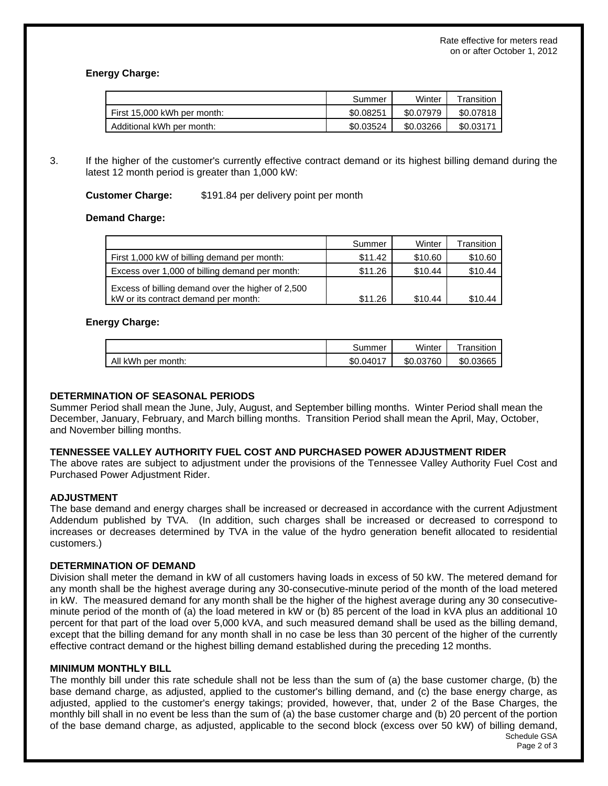# **Energy Charge:**

|                             | Summer    | Winter    | $\tau$ ransition |
|-----------------------------|-----------|-----------|------------------|
| First 15,000 kWh per month: | \$0.08251 | \$0.07979 | \$0.07818        |
| Additional kWh per month:   | \$0.03524 | \$0.03266 | \$0.03171        |

3. If the higher of the customer's currently effective contract demand or its highest billing demand during the latest 12 month period is greater than 1,000 kW:

# **Customer Charge:** \$191.84 per delivery point per month

# **Demand Charge:**

|                                                                                           | Summer  | Winter  | Transition |
|-------------------------------------------------------------------------------------------|---------|---------|------------|
| First 1,000 kW of billing demand per month:                                               | \$11.42 | \$10.60 | \$10.60    |
| Excess over 1,000 of billing demand per month:                                            | \$11.26 | \$10.44 | \$10.44    |
| Excess of billing demand over the higher of 2,500<br>kW or its contract demand per month: | \$11.26 | \$10.44 | \$10.44    |

## **Energy Charge:**

|                    | Summer    | Winter    | ™ransition |
|--------------------|-----------|-----------|------------|
| All kWh per month: | \$0.04017 | \$0.03760 | \$0.03665  |

# **DETERMINATION OF SEASONAL PERIODS**

Summer Period shall mean the June, July, August, and September billing months. Winter Period shall mean the December, January, February, and March billing months. Transition Period shall mean the April, May, October, and November billing months.

### **TENNESSEE VALLEY AUTHORITY FUEL COST AND PURCHASED POWER ADJUSTMENT RIDER**

The above rates are subject to adjustment under the provisions of the Tennessee Valley Authority Fuel Cost and Purchased Power Adjustment Rider.

# **ADJUSTMENT**

The base demand and energy charges shall be increased or decreased in accordance with the current Adjustment Addendum published by TVA. (In addition, such charges shall be increased or decreased to correspond to increases or decreases determined by TVA in the value of the hydro generation benefit allocated to residential customers.)

### **DETERMINATION OF DEMAND**

Division shall meter the demand in kW of all customers having loads in excess of 50 kW. The metered demand for any month shall be the highest average during any 30-consecutive-minute period of the month of the load metered in kW. The measured demand for any month shall be the higher of the highest average during any 30 consecutiveminute period of the month of (a) the load metered in kW or (b) 85 percent of the load in kVA plus an additional 10 percent for that part of the load over 5,000 kVA, and such measured demand shall be used as the billing demand, except that the billing demand for any month shall in no case be less than 30 percent of the higher of the currently effective contract demand or the highest billing demand established during the preceding 12 months.

### **MINIMUM MONTHLY BILL**

Schedule GSA The monthly bill under this rate schedule shall not be less than the sum of (a) the base customer charge, (b) the base demand charge, as adjusted, applied to the customer's billing demand, and (c) the base energy charge, as adjusted, applied to the customer's energy takings; provided, however, that, under 2 of the Base Charges, the monthly bill shall in no event be less than the sum of (a) the base customer charge and (b) 20 percent of the portion of the base demand charge, as adjusted, applicable to the second block (excess over 50 kW) of billing demand,